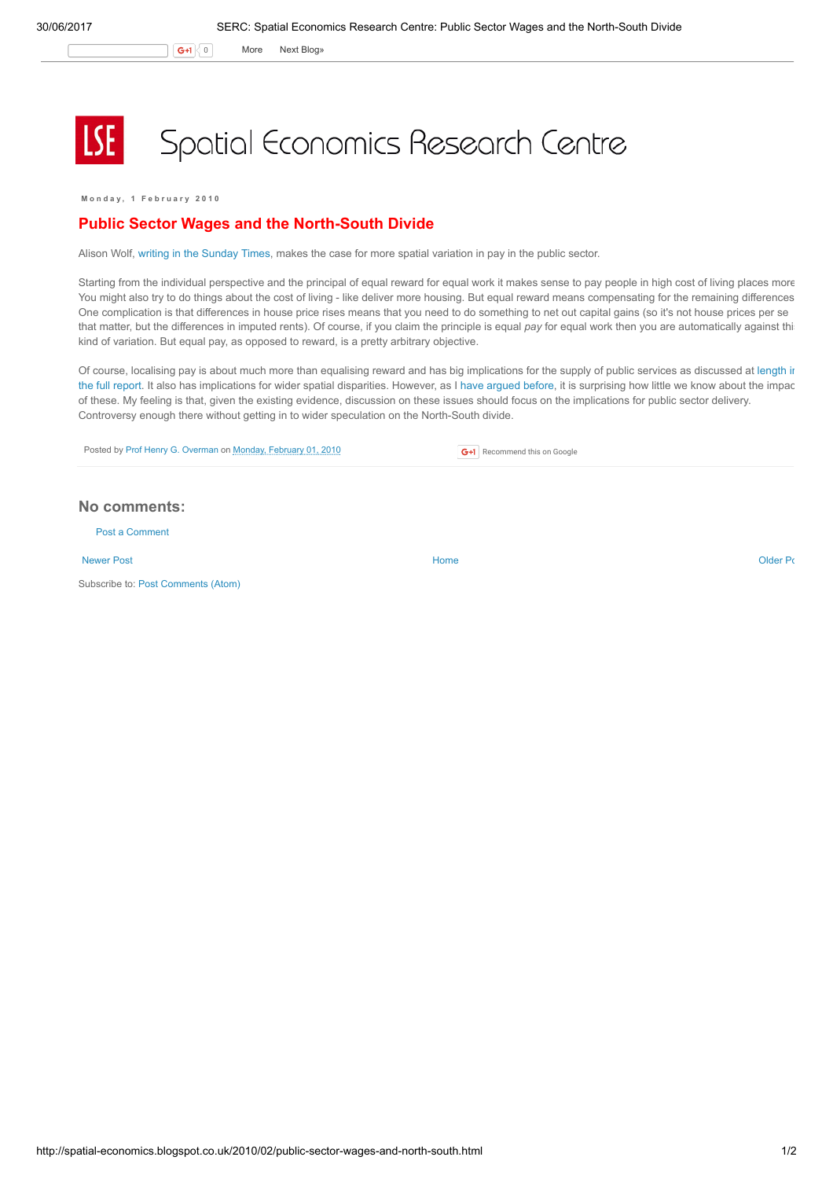G+1 0 More Next [Blog»](https://www.blogger.com/next-blog?navBar=true&blogID=974562301377041914)

## Spatial Economics Research Centre

Monday, 1 February 2010

## Public Sector Wages and the North-South Divide

Alison Wolf, writing in the [Sunday](http://www.timesonline.co.uk/tol/comment/columnists/guest_contributors/article7009665.ece) Times, makes the case for more spatial variation in pay in the public sector.

Starting from the individual perspective and the principal of equal reward for equal work it makes sense to pay people in high cost of living places more. You might also try to do things about the cost of living - like deliver more housing. But equal reward means compensating for the remaining differences One complication is that differences in house price rises means that you need to do something to net out capital gains (so it's not house prices per se that matter, but the differences in imputed rents). Of course, if you claim the principle is equal pay for equal work then you are automatically against thi kind of variation. But equal pay, as opposed to reward, is a pretty arbitrary objective.

Of course, localising pay is about much more than equalising reward and has big [implications](http://www.centreforum.org/assets/pubs/more-than-we-bargained-for.pdf) for the supply of public services as discussed at length in the full report. It also has implications for wider spatial disparities. However, as I have [argued](http://spatial-economics.blogspot.com/2009/12/public-sector-job-relocations.html) before, it is surprising how little we know about the impact of these. My feeling is that, given the existing evidence, discussion on these issues should focus on the implications for public sector delivery. Controversy enough there without getting in to wider speculation on the North-South divide.

**G+1** Recommend this on Google

Posted by Prof Henry G. [Overman](https://www.blogger.com/profile/15203876610491317062) on Monday, [February](http://spatial-economics.blogspot.co.uk/2010/02/public-sector-wages-and-north-south.html) 01, 2010

## No comments:

Post a [Comment](https://www.blogger.com/comment.g?blogID=974562301377041914&postID=8054991102546036682)

[Newer](http://spatial-economics.blogspot.co.uk/2010/02/green-belt.html) Post **New Account Contract Account Contract Account Contract Account Contract Account Contract [Older](http://spatial-economics.blogspot.co.uk/2010/01/anatomy-of-economic-inequality.html) Post** 

Subscribe to: Post [Comments](http://spatial-economics.blogspot.com/feeds/8054991102546036682/comments/default) (Atom)